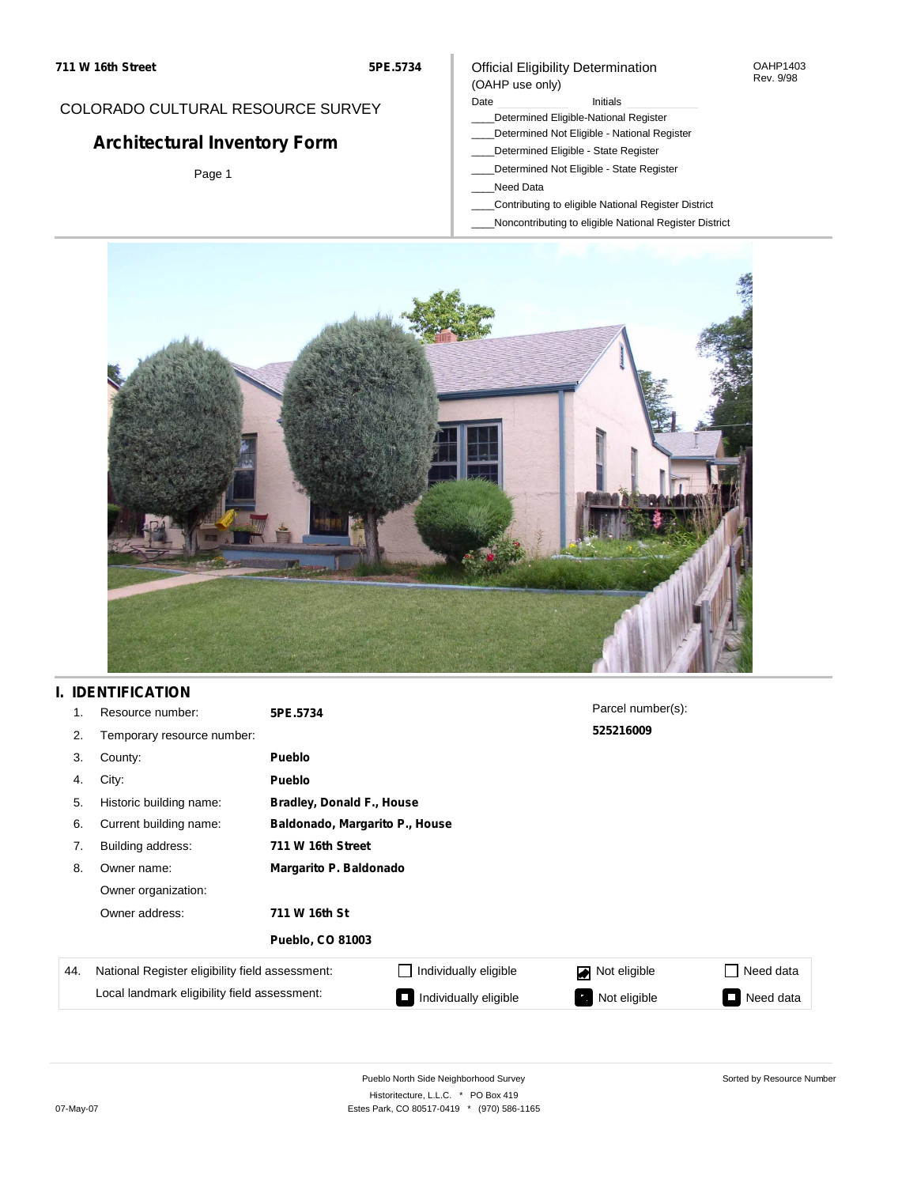#### OAHP1403 Rev. 9/98

## COLORADO CULTURAL RESOURCE SURVEY

# **Architectural Inventory Form**

Page 1

### (OAHP use only) Date **Initials** Initials

\_\_\_\_Determined Eligible-National Register

Official Eligibility Determination

- \_\_\_\_Determined Not Eligible National Register
- \_\_\_\_Determined Eligible State Register
- \_\_\_\_Determined Not Eligible State Register
- \_\_\_\_Need Data
- \_\_\_\_Contributing to eligible National Register District
- \_\_\_\_Noncontributing to eligible National Register District



## **I. IDENTIFICATION**

| 1.  | Resource number:                                | 5PE.5734                |                                  | Parcel number(s): |                 |  |  |  |
|-----|-------------------------------------------------|-------------------------|----------------------------------|-------------------|-----------------|--|--|--|
| 2.  | Temporary resource number:                      |                         | 525216009                        |                   |                 |  |  |  |
| 3.  | County:                                         | Pueblo                  |                                  |                   |                 |  |  |  |
| 4.  | City:                                           | Pueblo                  |                                  |                   |                 |  |  |  |
| 5.  | Historic building name:                         |                         | <b>Bradley, Donald F., House</b> |                   |                 |  |  |  |
| 6.  | Current building name:                          |                         | Baldonado, Margarito P., House   |                   |                 |  |  |  |
| 7.  | Building address:                               | 711 W 16th Street       |                                  |                   |                 |  |  |  |
| 8.  | Owner name:                                     | Margarito P. Baldonado  |                                  |                   |                 |  |  |  |
|     | Owner organization:                             |                         |                                  |                   |                 |  |  |  |
|     | Owner address:                                  | 711 W 16th St           |                                  |                   |                 |  |  |  |
|     |                                                 | <b>Pueblo, CO 81003</b> |                                  |                   |                 |  |  |  |
| 44. | National Register eligibility field assessment: |                         | Individually eligible            | Not eligible      | Need data<br>H  |  |  |  |
|     | Local landmark eligibility field assessment:    |                         | Individually eligible            | Not eligible      | Need data<br>I. |  |  |  |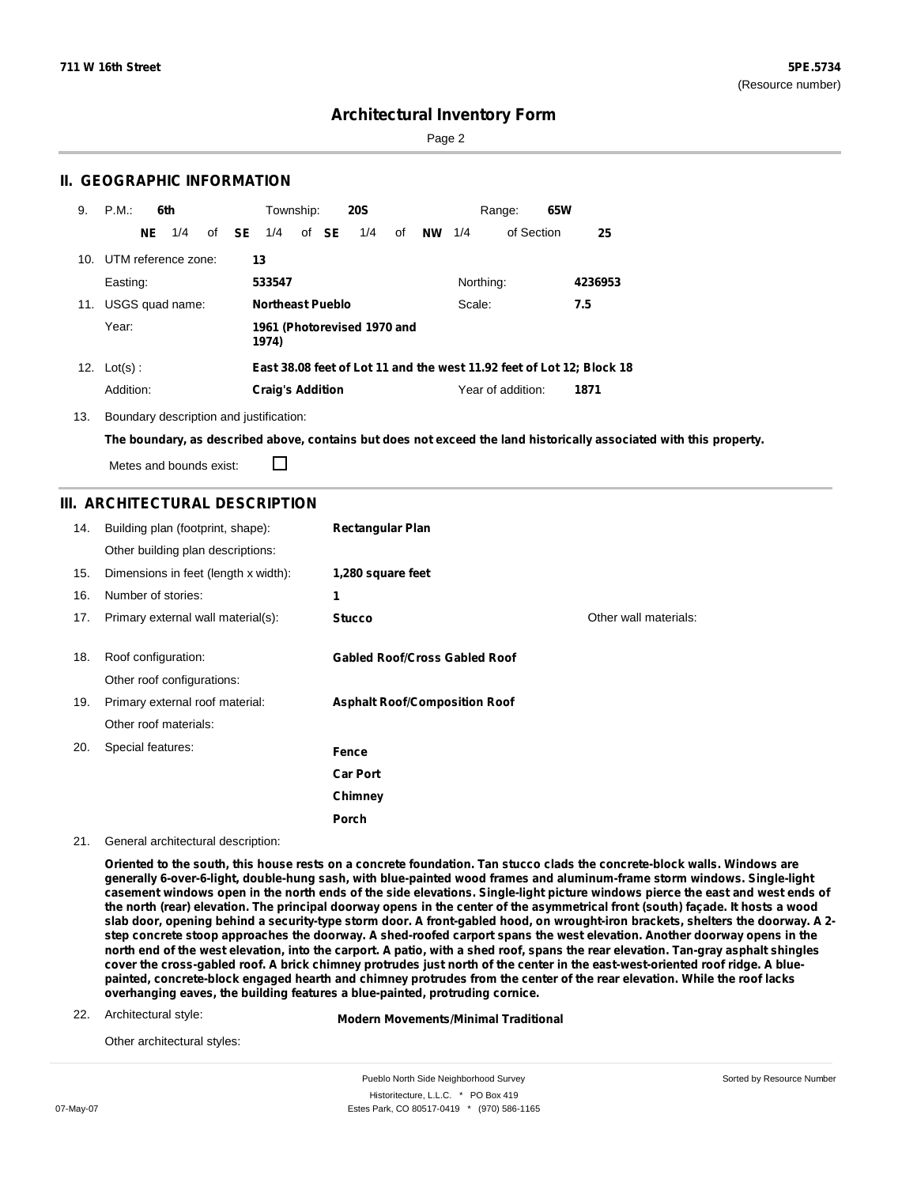Sorted by Resource Number

### **Architectural Inventory Form**

Page 2

### **II. GEOGRAPHIC INFORMATION**

| 9.  | P.M.                    |    | 6th |    |           | Township:               |  |       | <b>20S</b>                  |    |           |           | 65W<br>Range:     |                                                                       |
|-----|-------------------------|----|-----|----|-----------|-------------------------|--|-------|-----------------------------|----|-----------|-----------|-------------------|-----------------------------------------------------------------------|
|     |                         | NE | 1/4 | of | <b>SE</b> | 1/4                     |  | of SE | 1/4                         | of | <b>NW</b> | 1/4       | of Section        | 25                                                                    |
|     | 10. UTM reference zone: |    |     |    |           | 13                      |  |       |                             |    |           |           |                   |                                                                       |
|     | Easting:                |    |     |    |           | 533547                  |  |       |                             |    |           | Northing: |                   | 4236953                                                               |
| 11. | USGS quad name:         |    |     |    |           | <b>Northeast Pueblo</b> |  |       |                             |    |           | Scale:    | 7.5               |                                                                       |
|     | Year:                   |    |     |    |           | 1974)                   |  |       | 1961 (Photorevised 1970 and |    |           |           |                   |                                                                       |
| 12. | $Lot(s)$ :              |    |     |    |           |                         |  |       |                             |    |           |           |                   | East 38.08 feet of Lot 11 and the west 11.92 feet of Lot 12; Block 18 |
|     | Addition:               |    |     |    |           | <b>Craig's Addition</b> |  |       |                             |    |           |           | Year of addition: | 1871                                                                  |

13. Boundary description and justification:

The boundary, as described above, contains but does not exceed the land historically associated with this property.

Metes and bounds exist:

П

### **III. ARCHITECTURAL DESCRIPTION**

| 14. | Building plan (footprint, shape):    | <b>Rectangular Plan</b>              |                       |
|-----|--------------------------------------|--------------------------------------|-----------------------|
|     | Other building plan descriptions:    |                                      |                       |
| 15. | Dimensions in feet (length x width): | 1,280 square feet                    |                       |
| 16. | Number of stories:                   | 1                                    |                       |
| 17. | Primary external wall material(s):   | <b>Stucco</b>                        | Other wall materials: |
|     |                                      |                                      |                       |
| 18. | Roof configuration:                  | <b>Gabled Roof/Cross Gabled Roof</b> |                       |
|     | Other roof configurations:           |                                      |                       |
| 19. | Primary external roof material:      | <b>Asphalt Roof/Composition Roof</b> |                       |
|     | Other roof materials:                |                                      |                       |
| 20. | Special features:                    | Fence                                |                       |
|     |                                      | <b>Car Port</b>                      |                       |
|     |                                      | Chimney                              |                       |
|     |                                      | Porch                                |                       |

21. General architectural description:

Oriented to the south, this house rests on a concrete foundation. Tan stucco clads the concrete-block walls. Windows are **generally 6-over-6-light, double-hung sash, with blue-painted wood frames and aluminum-frame storm windows. Single-light** casement windows open in the north ends of the side elevations. Single-light picture windows pierce the east and west ends of the north (rear) elevation. The principal doorway opens in the center of the asymmetrical front (south) facade. It hosts a wood slab door, opening behind a security-type storm door. A front-gabled hood, on wrought-iron brackets, shelters the doorway. A 2step concrete stoop approaches the doorway. A shed-roofed carport spans the west elevation. Another doorway opens in the north end of the west elevation, into the carport. A patio, with a shed roof, spans the rear elevation. Tan-gray asphalt shingles cover the cross-gabled roof. A brick chimney protrudes just north of the center in the east-west-oriented roof ridge. A bluepainted, concrete-block engaged hearth and chimney protrudes from the center of the rear elevation. While the roof lacks **overhanging eaves, the building features a blue-painted, protruding cornice.**

22. Architectural style:

**Modern Movements/Minimal Traditional**

Other architectural styles:

Pueblo North Side Neighborhood Survey Historitecture, L.L.C. \* PO Box 419 07-May-07 **Estes Park, CO 80517-0419** \* (970) 586-1165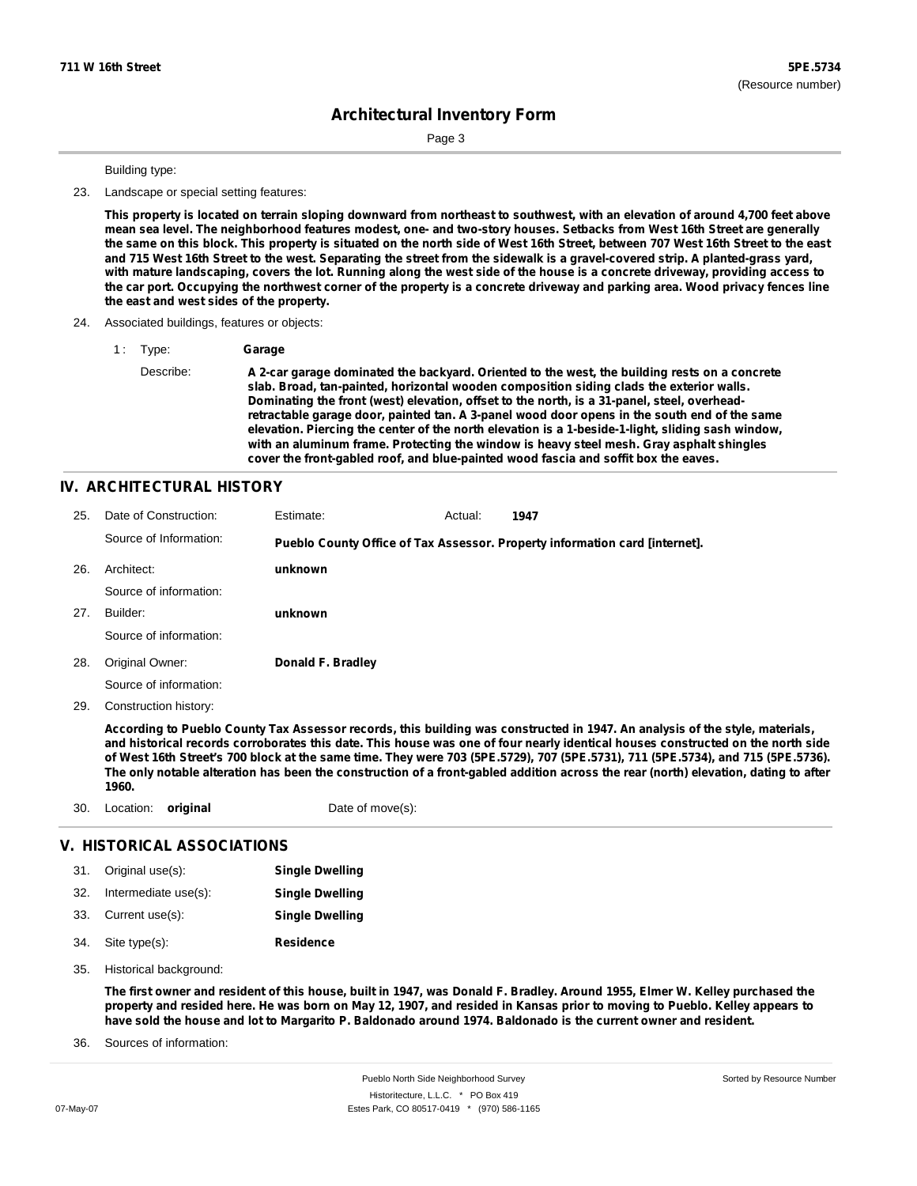Page 3

Building type:

23. Landscape or special setting features:

This property is located on terrain sloping downward from northeast to southwest, with an elevation of around 4,700 feet above mean sea level. The neighborhood features modest, one- and two-story houses. Setbacks from West 16th Street are generally the same on this block. This property is situated on the north side of West 16th Street, between 707 West 16th Street to the east and 715 West 16th Street to the west. Separating the street from the sidewalk is a gravel-covered strip. A planted-grass yard, with mature landscaping, covers the lot. Running along the west side of the house is a concrete driveway, providing access to the car port. Occupying the northwest corner of the property is a concrete driveway and parking area. Wood privacy fences line **the east and west sides of the property.**

#### 24. Associated buildings, features or objects:

1 : Type: **Garage**

Describe: **A 2-car garage dominated the backyard. Oriented to the west, the building rests on a concrete slab. Broad, tan-painted, horizontal wooden composition siding clads the exterior walls. Dominating the front (west) elevation, offset to the north, is a 31-panel, steel, overheadretractable garage door, painted tan. A 3-panel wood door opens in the south end of the same elevation. Piercing the center of the north elevation is a 1-beside-1-light, sliding sash window, with an aluminum frame. Protecting the window is heavy steel mesh. Gray asphalt shingles cover the front-gabled roof, and blue-painted wood fascia and soffit box the eaves.**

### **IV. ARCHITECTURAL HISTORY**

| 25. | Date of Construction:  | Estimate:         | Actual: | 1947                                                                        |
|-----|------------------------|-------------------|---------|-----------------------------------------------------------------------------|
|     | Source of Information: |                   |         | Pueblo County Office of Tax Assessor. Property information card [internet]. |
| 26. | Architect:             | unknown           |         |                                                                             |
|     | Source of information: |                   |         |                                                                             |
| 27. | Builder:               | unknown           |         |                                                                             |
|     | Source of information: |                   |         |                                                                             |
| 28. | Original Owner:        | Donald F. Bradley |         |                                                                             |
|     | Source of information: |                   |         |                                                                             |
| 29. | Construction history:  |                   |         |                                                                             |

According to Pueblo County Tax Assessor records, this building was constructed in 1947. An analysis of the style, materials, and historical records corroborates this date. This house was one of four nearly identical houses constructed on the north side of West 16th Street's 700 block at the same time. They were 703 (5PE.5729), 707 (5PE.5731), 711 (5PE.5734), and 715 (5PE.5736). The only notable alteration has been the construction of a front-gabled addition across the rear (north) elevation, dating to after **1960.**

30. Location: **original** Date of move(s):

#### **V. HISTORICAL ASSOCIATIONS**

| 31. | Original use(s):     | <b>Single Dwelling</b> |
|-----|----------------------|------------------------|
| 32. | Intermediate use(s): | <b>Single Dwelling</b> |
|     | 33. Current use(s):  | <b>Single Dwelling</b> |
| 34. | Site type(s):        | <b>Residence</b>       |

35. Historical background:

The first owner and resident of this house, built in 1947, was Donald F. Bradley. Around 1955, Elmer W. Kelley purchased the property and resided here. He was born on May 12, 1907, and resided in Kansas prior to moving to Pueblo. Kelley appears to have sold the house and lot to Margarito P. Baldonado around 1974. Baldonado is the current owner and resident.

Sources of information: 36.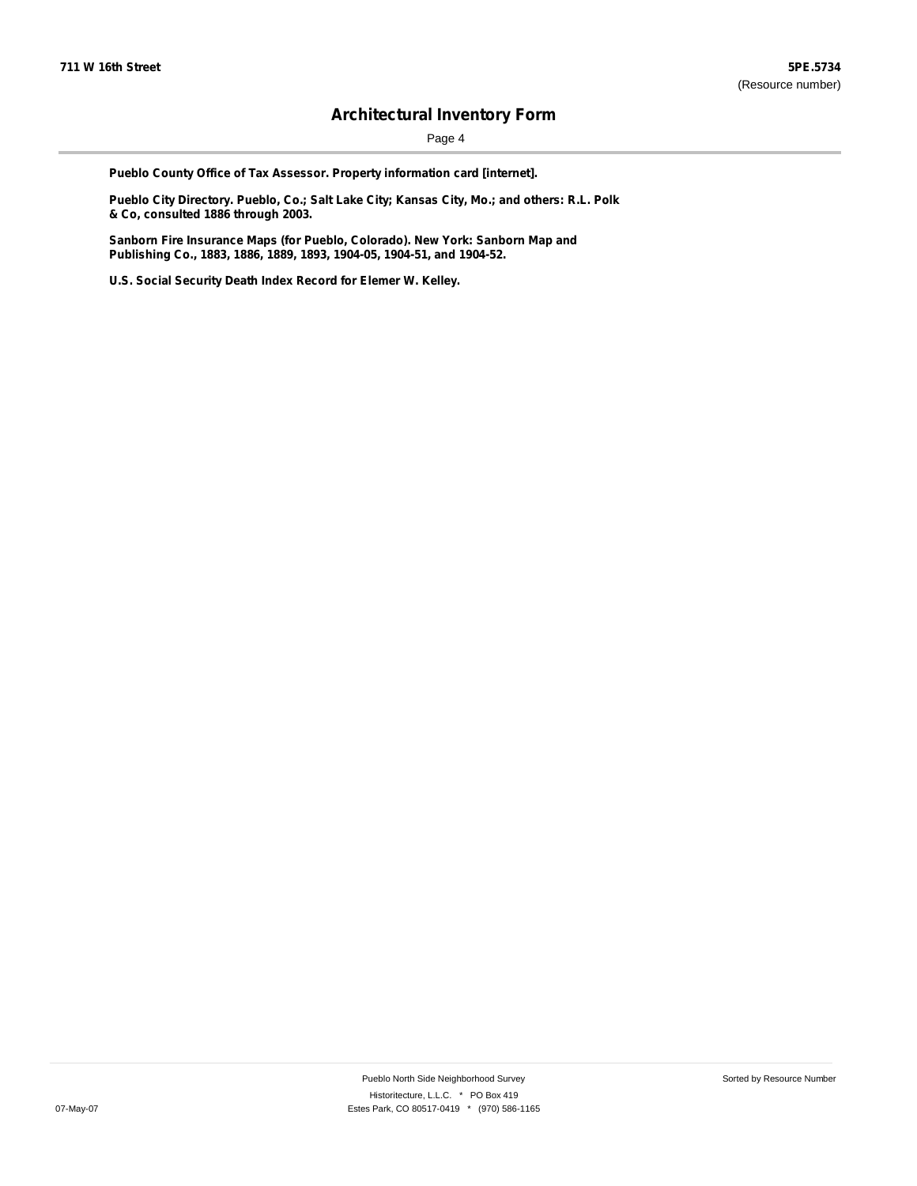Page 4

**Pueblo County Office of Tax Assessor. Property information card [internet].**

**Pueblo City Directory. Pueblo, Co.; Salt Lake City; Kansas City, Mo.; and others: R.L. Polk & Co, consulted 1886 through 2003.**

**Sanborn Fire Insurance Maps (for Pueblo, Colorado). New York: Sanborn Map and Publishing Co., 1883, 1886, 1889, 1893, 1904-05, 1904-51, and 1904-52.**

**U.S. Social Security Death Index Record for Elemer W. Kelley.**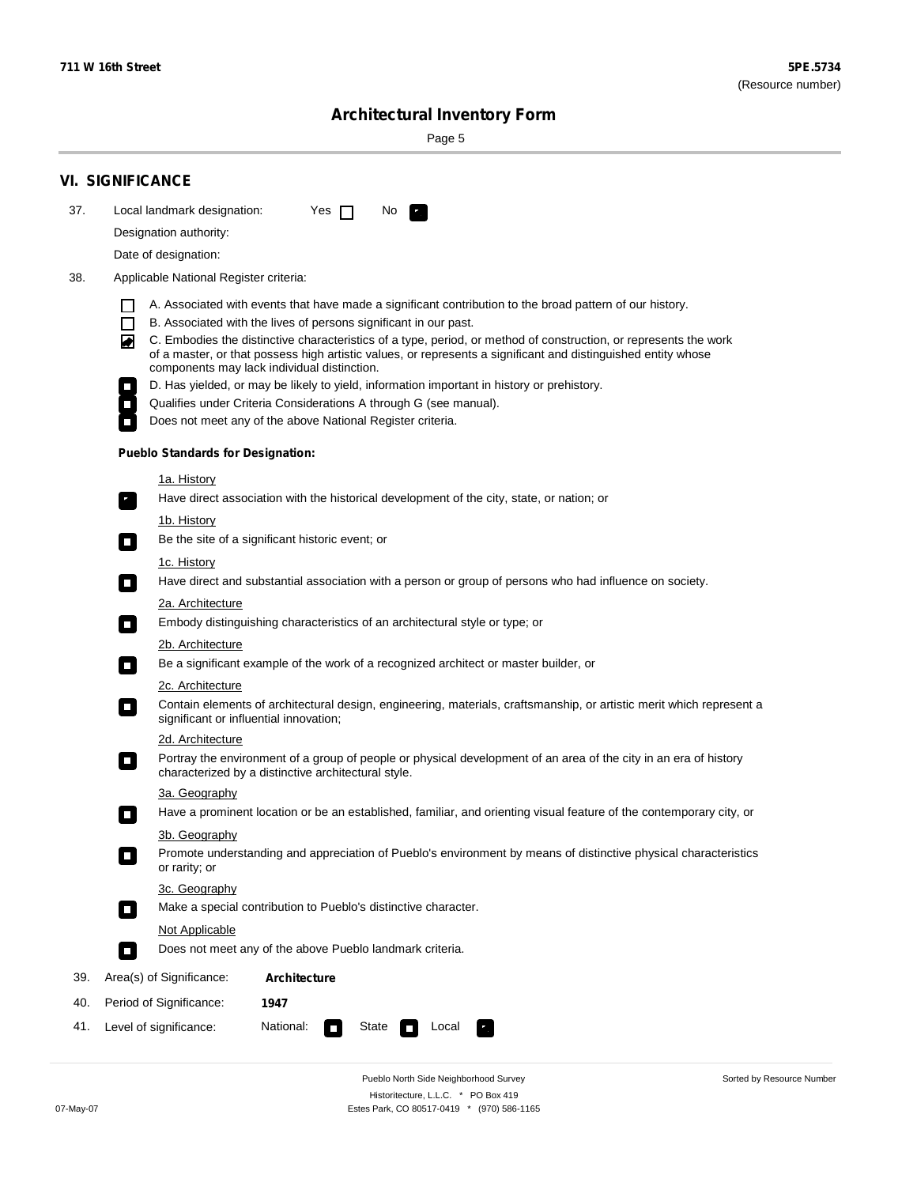۰

Sorted by Resource Number

# **Architectural Inventory Form**

Page 5

|     | <b>VI. SIGNIFICANCE</b>                                                                                                                                                                                                                |  |  |  |  |  |  |  |
|-----|----------------------------------------------------------------------------------------------------------------------------------------------------------------------------------------------------------------------------------------|--|--|--|--|--|--|--|
| 37. | Local landmark designation:<br>Yes $\Box$<br>No.                                                                                                                                                                                       |  |  |  |  |  |  |  |
|     | Designation authority:                                                                                                                                                                                                                 |  |  |  |  |  |  |  |
|     | Date of designation:                                                                                                                                                                                                                   |  |  |  |  |  |  |  |
| 38. | Applicable National Register criteria:                                                                                                                                                                                                 |  |  |  |  |  |  |  |
|     | A. Associated with events that have made a significant contribution to the broad pattern of our history.<br>H                                                                                                                          |  |  |  |  |  |  |  |
|     | B. Associated with the lives of persons significant in our past.<br>$\Box$                                                                                                                                                             |  |  |  |  |  |  |  |
|     | C. Embodies the distinctive characteristics of a type, period, or method of construction, or represents the work<br>◙<br>of a master, or that possess high artistic values, or represents a significant and distinguished entity whose |  |  |  |  |  |  |  |
|     | components may lack individual distinction.<br>D. Has yielded, or may be likely to yield, information important in history or prehistory.                                                                                              |  |  |  |  |  |  |  |
|     | Qualifies under Criteria Considerations A through G (see manual).                                                                                                                                                                      |  |  |  |  |  |  |  |
|     | Does not meet any of the above National Register criteria.                                                                                                                                                                             |  |  |  |  |  |  |  |
|     | <b>Pueblo Standards for Designation:</b>                                                                                                                                                                                               |  |  |  |  |  |  |  |
|     | <u>1a. History</u>                                                                                                                                                                                                                     |  |  |  |  |  |  |  |
|     | Have direct association with the historical development of the city, state, or nation; or<br>$\overline{\phantom{a}}$ .                                                                                                                |  |  |  |  |  |  |  |
|     | <u>1b. History</u><br>Be the site of a significant historic event; or<br>$\mathcal{L}_{\mathcal{A}}$                                                                                                                                   |  |  |  |  |  |  |  |
|     | 1c. History                                                                                                                                                                                                                            |  |  |  |  |  |  |  |
|     | Have direct and substantial association with a person or group of persons who had influence on society.<br>$\Box$                                                                                                                      |  |  |  |  |  |  |  |
|     | 2a. Architecture                                                                                                                                                                                                                       |  |  |  |  |  |  |  |
|     | Embody distinguishing characteristics of an architectural style or type; or<br>$\mathcal{L}_{\mathcal{A}}$                                                                                                                             |  |  |  |  |  |  |  |
|     | 2b. Architecture                                                                                                                                                                                                                       |  |  |  |  |  |  |  |
|     | Be a significant example of the work of a recognized architect or master builder, or<br>$\mathcal{L}_{\mathcal{A}}$                                                                                                                    |  |  |  |  |  |  |  |
|     | 2c. Architecture                                                                                                                                                                                                                       |  |  |  |  |  |  |  |
|     | Contain elements of architectural design, engineering, materials, craftsmanship, or artistic merit which represent a<br>$\mathcal{L}_{\rm{max}}$<br>significant or influential innovation;                                             |  |  |  |  |  |  |  |
|     | 2d. Architecture                                                                                                                                                                                                                       |  |  |  |  |  |  |  |
|     | Portray the environment of a group of people or physical development of an area of the city in an era of history<br>$\mathcal{L}_{\mathcal{A}}$<br>characterized by a distinctive architectural style.                                 |  |  |  |  |  |  |  |
|     | 3a. Geography                                                                                                                                                                                                                          |  |  |  |  |  |  |  |
|     | Have a prominent location or be an established, familiar, and orienting visual feature of the contemporary city, or<br>П                                                                                                               |  |  |  |  |  |  |  |
|     | 3b. Geography                                                                                                                                                                                                                          |  |  |  |  |  |  |  |
|     | Promote understanding and appreciation of Pueblo's environment by means of distinctive physical characteristics<br>п<br>or rarity; or                                                                                                  |  |  |  |  |  |  |  |
|     | 3c. Geography<br>Make a special contribution to Pueblo's distinctive character.<br>$\mathcal{L}_{\mathcal{A}}$                                                                                                                         |  |  |  |  |  |  |  |
|     | Not Applicable                                                                                                                                                                                                                         |  |  |  |  |  |  |  |
|     | Does not meet any of the above Pueblo landmark criteria.<br>$\sim$                                                                                                                                                                     |  |  |  |  |  |  |  |
| 39. | Area(s) of Significance:<br><b>Architecture</b>                                                                                                                                                                                        |  |  |  |  |  |  |  |
| 40. | Period of Significance:<br>1947                                                                                                                                                                                                        |  |  |  |  |  |  |  |
| 41. | National:<br>Level of significance:<br>State<br>Local<br>κ,<br>Ī.                                                                                                                                                                      |  |  |  |  |  |  |  |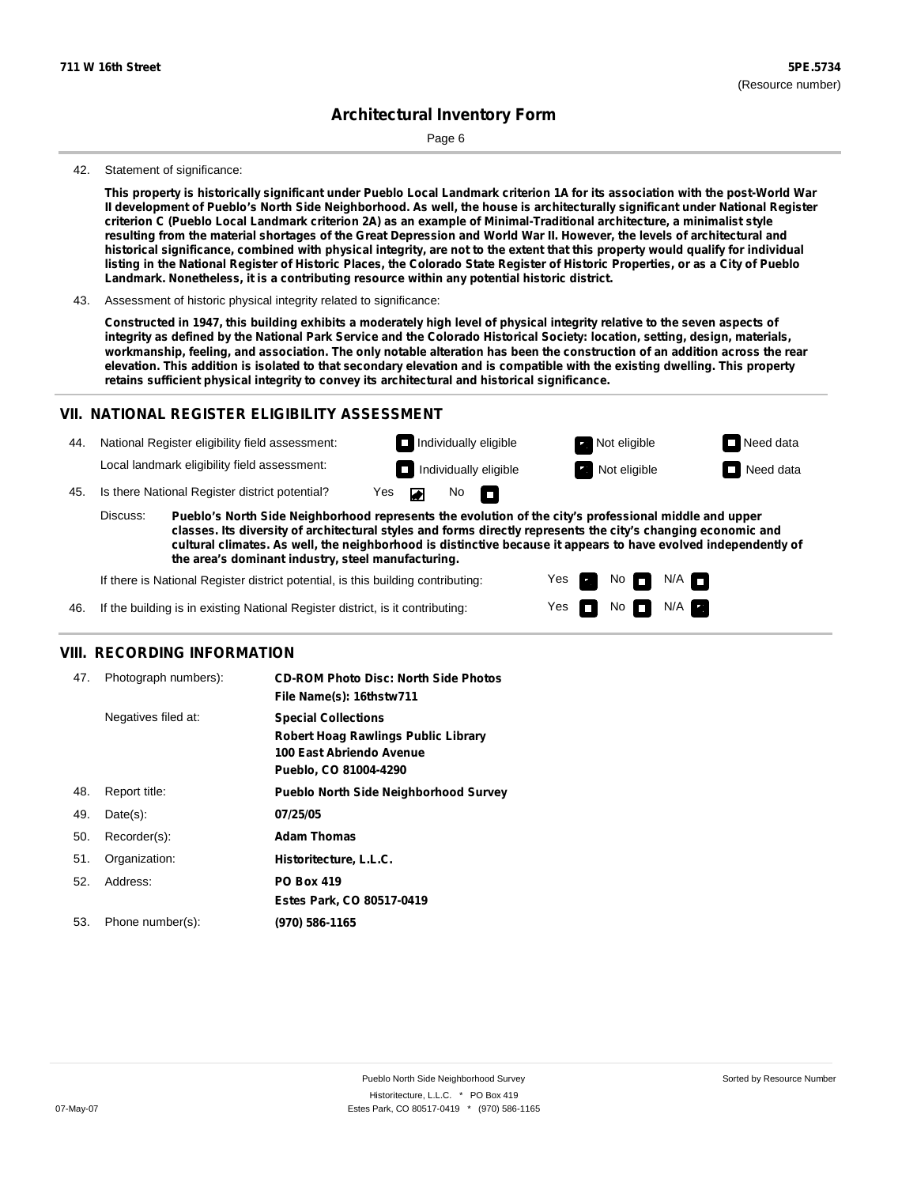Page 6

#### 42. Statement of significance:

This property is historically significant under Pueblo Local Landmark criterion 1A for its association with the post-World War Il development of Pueblo's North Side Neighborhood. As well, the house is architecturally significant under National Register criterion C (Pueblo Local Landmark criterion 2A) as an example of Minimal-Traditional architecture, a minimalist style resulting from the material shortages of the Great Depression and World War II. However, the levels of architectural and historical significance, combined with physical integrity, are not to the extent that this property would qualify for individual listing in the National Register of Historic Places, the Colorado State Register of Historic Properties, or as a City of Pueblo **Landmark. Nonetheless, it is a contributing resource within any potential historic district.**

43. Assessment of historic physical integrity related to significance:

Constructed in 1947, this building exhibits a moderately high level of physical integrity relative to the seven aspects of integrity as defined by the National Park Service and the Colorado Historical Society: location, setting, design, materials, workmanship, feeling, and association. The only notable alteration has been the construction of an addition across the rear elevation. This addition is isolated to that secondary elevation and is compatible with the existing dwelling. This property **retains sufficient physical integrity to convey its architectural and historical significance.**

### **VII. NATIONAL REGISTER ELIGIBILITY ASSESSMENT**

44. National Register eligibility field assessment: Local landmark eligibility field assessment:

**Individually eligible Not eligible** Not eligible **Need data Individually eligible Not eligible Not eligible Need data** 

No<sub>D</sub>

No

 $No$   $N/A$ 

 $N/A$   $\Box$ 

Yes Yes

45. Is there National Register district potential? Yes

**Pueblo's North Side Neighborhood represents the evolution of the city's professional middle and upper classes. Its diversity of architectural styles and forms directly represents the city's changing economic and cultural climates. As well, the neighborhood is distinctive because it appears to have evolved independently of the area's dominant industry, steel manufacturing.** Discuss:

 $\blacksquare$ 

If there is National Register district potential, is this building contributing:



### **VIII. RECORDING INFORMATION**

| 47. | Photograph numbers): | <b>CD-ROM Photo Disc: North Side Photos</b><br>File Name(s): 16thstw711                                                       |
|-----|----------------------|-------------------------------------------------------------------------------------------------------------------------------|
|     | Negatives filed at:  | <b>Special Collections</b><br><b>Robert Hoag Rawlings Public Library</b><br>100 East Abriendo Avenue<br>Pueblo, CO 81004-4290 |
| 48. | Report title:        | <b>Pueblo North Side Neighborhood Survey</b>                                                                                  |
| 49. | $Date(s)$ :          | 07/25/05                                                                                                                      |
| 50. | Recorder(s):         | <b>Adam Thomas</b>                                                                                                            |
| 51. | Organization:        | Historitecture, L.L.C.                                                                                                        |
| 52. | Address:             | <b>PO Box 419</b>                                                                                                             |
|     |                      | Estes Park, CO 80517-0419                                                                                                     |
| 53. | Phone number(s):     | (970) 586-1165                                                                                                                |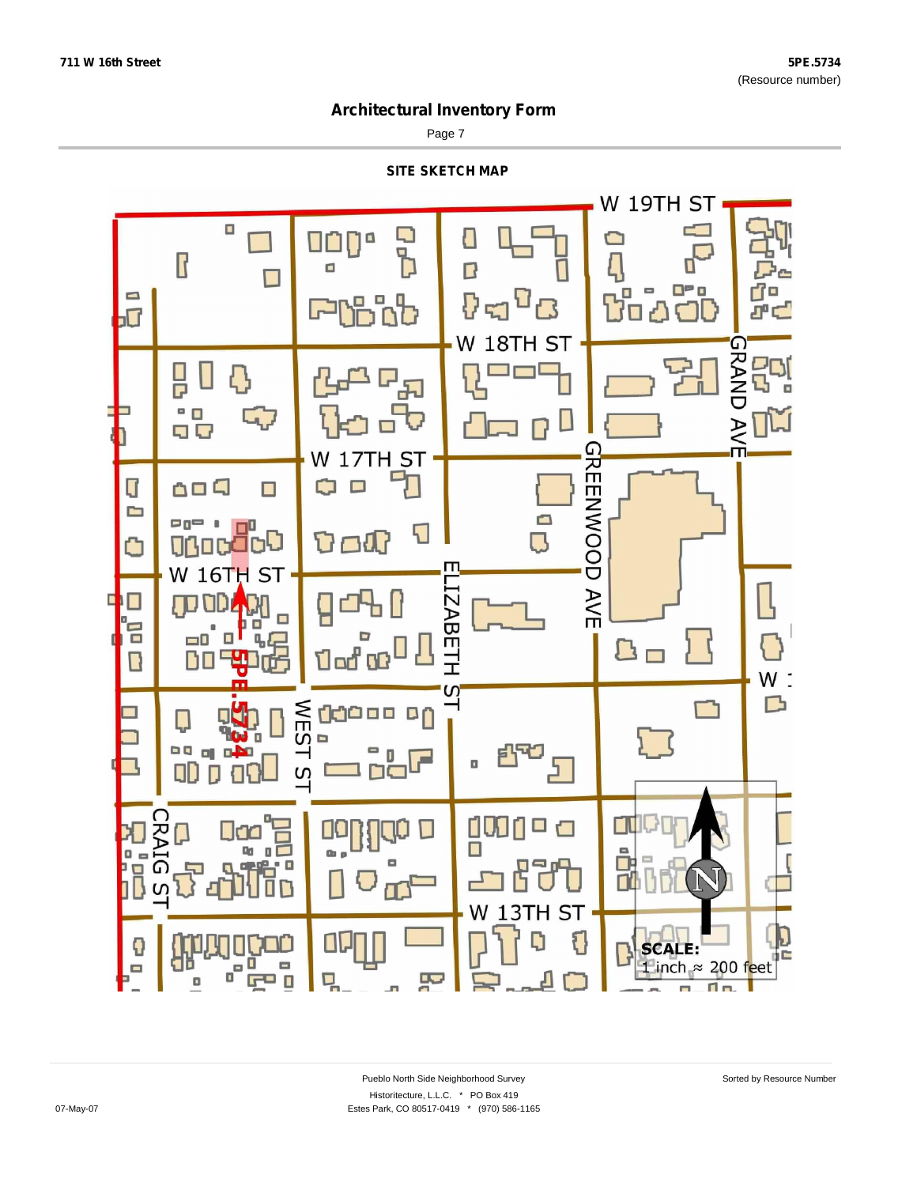Page 7